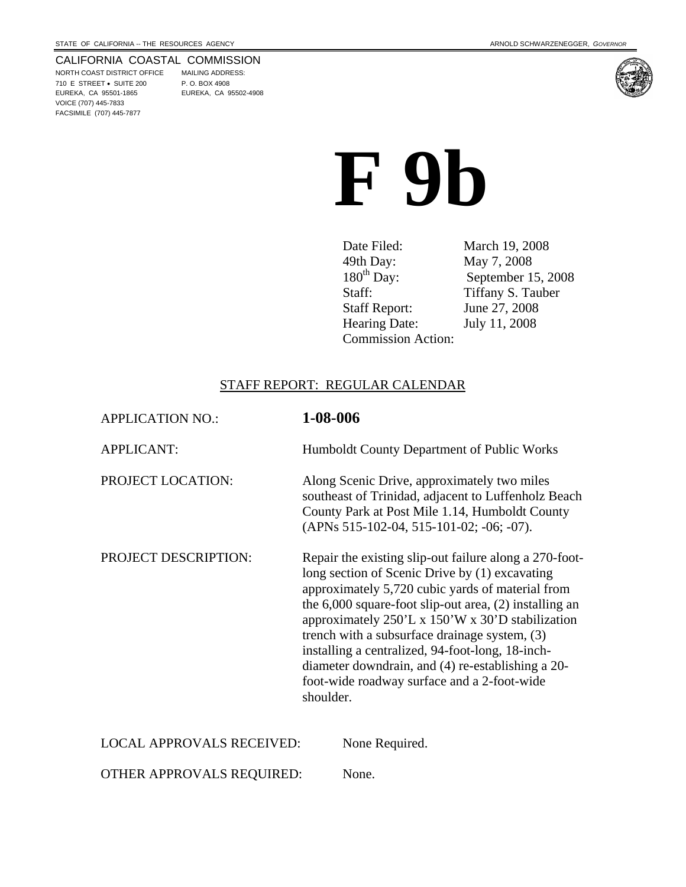#### CALIFORNIA COASTAL COMMISSION

NORTH COAST DISTRICT OFFICE MAILING ADDRESS: 710 E STREET • SUITE 200 P. O. BOX 4908 EUREKA, CA 95501-1865 EUREKA, CA 95502-4908 VOICE (707) 445-7833 FACSIMILE (707) 445-7877



# **F 9b**

Date Filed: March 19, 2008 49th Day: May 7, 2008<br>180<sup>th</sup> Day: September 1 Staff: Tiffany S. Tauber Staff Report: June 27, 2008 Hearing Date: July 11, 2008 Commission Action:

September 15, 2008

#### STAFF REPORT: REGULAR CALENDAR

| <b>APPLICATION NO.:</b>          | 1-08-006                                                                                                                                                                                                                                                                                                                                                                                                                                                                                             |
|----------------------------------|------------------------------------------------------------------------------------------------------------------------------------------------------------------------------------------------------------------------------------------------------------------------------------------------------------------------------------------------------------------------------------------------------------------------------------------------------------------------------------------------------|
| <b>APPLICANT:</b>                | Humboldt County Department of Public Works                                                                                                                                                                                                                                                                                                                                                                                                                                                           |
| PROJECT LOCATION:                | Along Scenic Drive, approximately two miles<br>southeast of Trinidad, adjacent to Luffenholz Beach<br>County Park at Post Mile 1.14, Humboldt County<br>(APNs 515-102-04, 515-101-02; -06; -07).                                                                                                                                                                                                                                                                                                     |
| <b>PROJECT DESCRIPTION:</b>      | Repair the existing slip-out failure along a 270-foot-<br>long section of Scenic Drive by (1) excavating<br>approximately 5,720 cubic yards of material from<br>the $6,000$ square-foot slip-out area, $(2)$ installing an<br>approximately 250'L x 150'W x 30'D stabilization<br>trench with a subsurface drainage system, (3)<br>installing a centralized, 94-foot-long, 18-inch-<br>diameter downdrain, and (4) re-establishing a 20-<br>foot-wide roadway surface and a 2-foot-wide<br>shoulder. |
| <b>LOCAL APPROVALS RECEIVED:</b> | None Required.                                                                                                                                                                                                                                                                                                                                                                                                                                                                                       |
| OTHER APPROVALS REQUIRED:        | None.                                                                                                                                                                                                                                                                                                                                                                                                                                                                                                |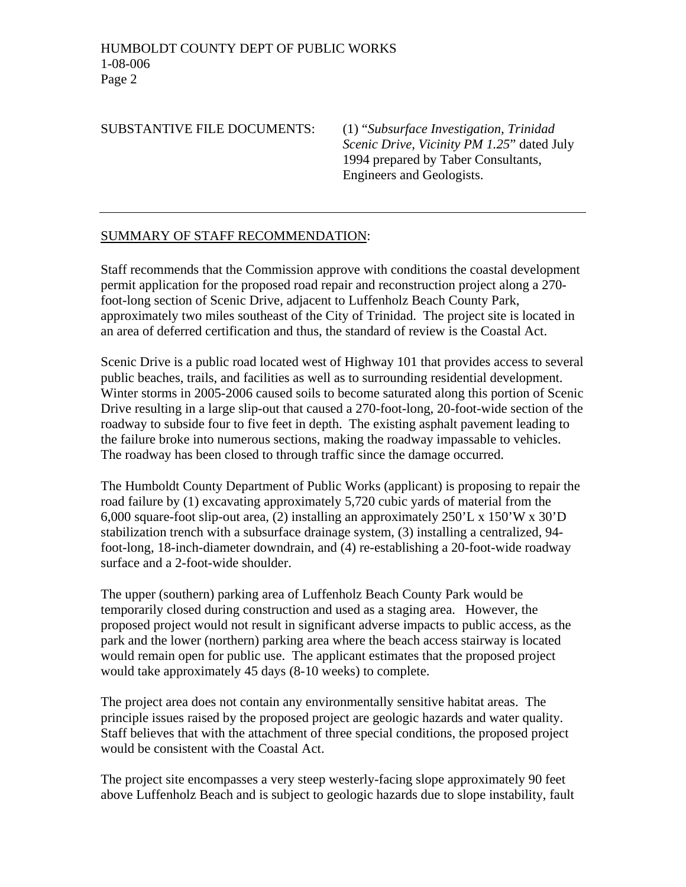SUBSTANTIVE FILE DOCUMENTS: (1) "*Subsurface Investigation, Trinidad Scenic Drive, Vicinity PM 1.25*" dated July 1994 prepared by Taber Consultants, Engineers and Geologists.

#### SUMMARY OF STAFF RECOMMENDATION:

Staff recommends that the Commission approve with conditions the coastal development permit application for the proposed road repair and reconstruction project along a 270 foot-long section of Scenic Drive, adjacent to Luffenholz Beach County Park, approximately two miles southeast of the City of Trinidad. The project site is located in an area of deferred certification and thus, the standard of review is the Coastal Act.

Scenic Drive is a public road located west of Highway 101 that provides access to several public beaches, trails, and facilities as well as to surrounding residential development. Winter storms in 2005-2006 caused soils to become saturated along this portion of Scenic Drive resulting in a large slip-out that caused a 270-foot-long, 20-foot-wide section of the roadway to subside four to five feet in depth. The existing asphalt pavement leading to the failure broke into numerous sections, making the roadway impassable to vehicles. The roadway has been closed to through traffic since the damage occurred.

The Humboldt County Department of Public Works (applicant) is proposing to repair the road failure by (1) excavating approximately 5,720 cubic yards of material from the 6,000 square-foot slip-out area, (2) installing an approximately 250'L x 150'W x 30'D stabilization trench with a subsurface drainage system, (3) installing a centralized, 94 foot-long, 18-inch-diameter downdrain, and (4) re-establishing a 20-foot-wide roadway surface and a 2-foot-wide shoulder.

The upper (southern) parking area of Luffenholz Beach County Park would be temporarily closed during construction and used as a staging area. However, the proposed project would not result in significant adverse impacts to public access, as the park and the lower (northern) parking area where the beach access stairway is located would remain open for public use. The applicant estimates that the proposed project would take approximately 45 days (8-10 weeks) to complete.

The project area does not contain any environmentally sensitive habitat areas. The principle issues raised by the proposed project are geologic hazards and water quality. Staff believes that with the attachment of three special conditions, the proposed project would be consistent with the Coastal Act.

The project site encompasses a very steep westerly-facing slope approximately 90 feet above Luffenholz Beach and is subject to geologic hazards due to slope instability, fault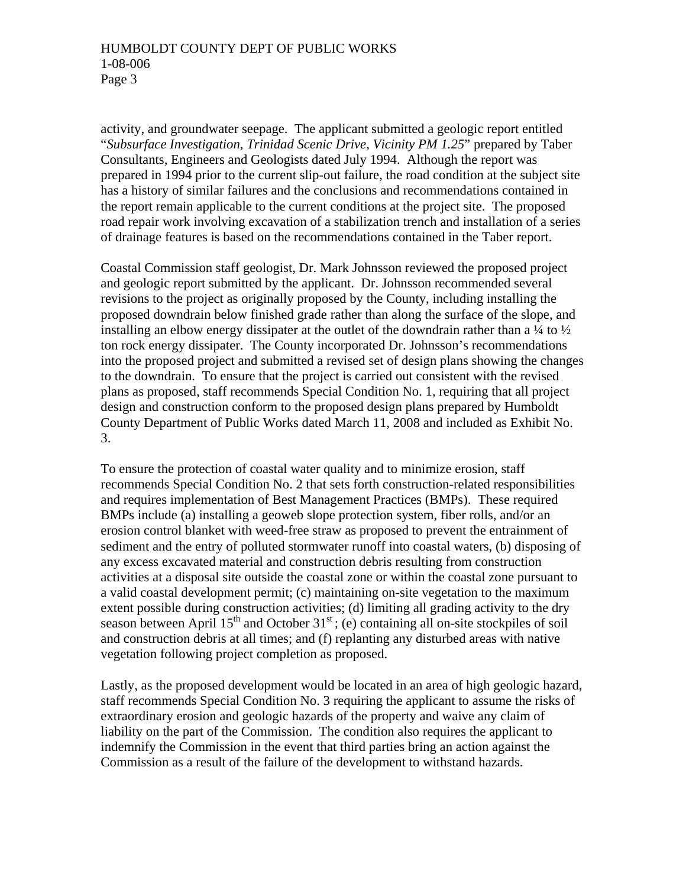activity, and groundwater seepage. The applicant submitted a geologic report entitled "*Subsurface Investigation, Trinidad Scenic Drive, Vicinity PM 1.25*" prepared by Taber Consultants, Engineers and Geologists dated July 1994. Although the report was prepared in 1994 prior to the current slip-out failure, the road condition at the subject site has a history of similar failures and the conclusions and recommendations contained in the report remain applicable to the current conditions at the project site. The proposed road repair work involving excavation of a stabilization trench and installation of a series of drainage features is based on the recommendations contained in the Taber report.

Coastal Commission staff geologist, Dr. Mark Johnsson reviewed the proposed project and geologic report submitted by the applicant. Dr. Johnsson recommended several revisions to the project as originally proposed by the County, including installing the proposed downdrain below finished grade rather than along the surface of the slope, and installing an elbow energy dissipater at the outlet of the downdrain rather than a  $\frac{1}{4}$  to  $\frac{1}{2}$ ton rock energy dissipater. The County incorporated Dr. Johnsson's recommendations into the proposed project and submitted a revised set of design plans showing the changes to the downdrain. To ensure that the project is carried out consistent with the revised plans as proposed, staff recommends Special Condition No. 1, requiring that all project design and construction conform to the proposed design plans prepared by Humboldt County Department of Public Works dated March 11, 2008 and included as Exhibit No. 3.

To ensure the protection of coastal water quality and to minimize erosion, staff recommends Special Condition No. 2 that sets forth construction-related responsibilities and requires implementation of Best Management Practices (BMPs). These required BMPs include (a) installing a geoweb slope protection system, fiber rolls, and/or an erosion control blanket with weed-free straw as proposed to prevent the entrainment of sediment and the entry of polluted stormwater runoff into coastal waters, (b) disposing of any excess excavated material and construction debris resulting from construction activities at a disposal site outside the coastal zone or within the coastal zone pursuant to a valid coastal development permit; (c) maintaining on-site vegetation to the maximum extent possible during construction activities; (d) limiting all grading activity to the dry season between April  $15<sup>th</sup>$  and October  $31<sup>st</sup>$ ; (e) containing all on-site stockpiles of soil and construction debris at all times; and (f) replanting any disturbed areas with native vegetation following project completion as proposed.

Lastly, as the proposed development would be located in an area of high geologic hazard, staff recommends Special Condition No. 3 requiring the applicant to assume the risks of extraordinary erosion and geologic hazards of the property and waive any claim of liability on the part of the Commission. The condition also requires the applicant to indemnify the Commission in the event that third parties bring an action against the Commission as a result of the failure of the development to withstand hazards.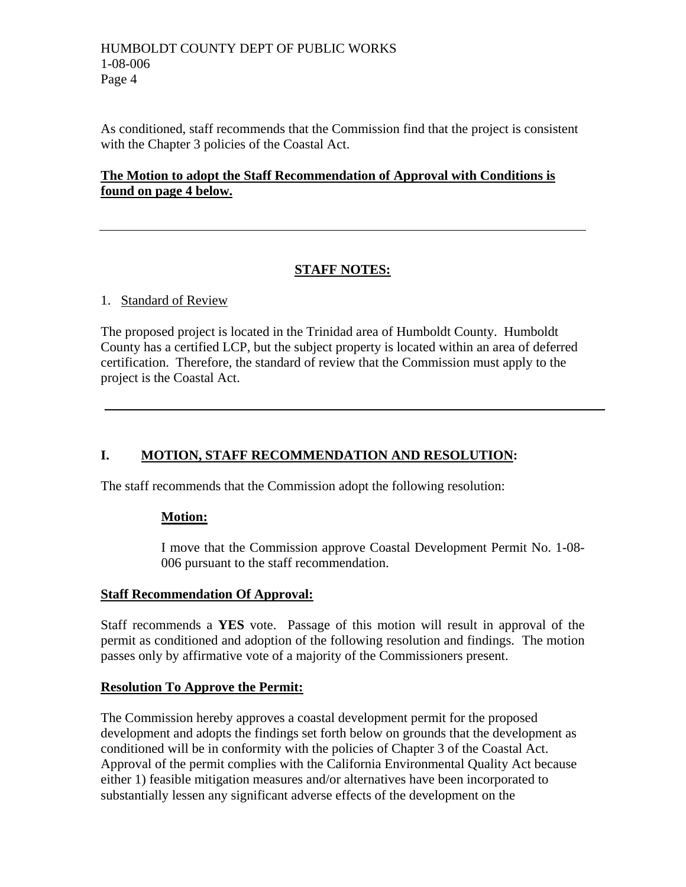#### HUMBOLDT COUNTY DEPT OF PUBLIC WORKS 1-08-006 Page 4

As conditioned, staff recommends that the Commission find that the project is consistent with the Chapter 3 policies of the Coastal Act.

# **The Motion to adopt the Staff Recommendation of Approval with Conditions is found on page 4 below.**

# **STAFF NOTES:**

## 1. Standard of Review

The proposed project is located in the Trinidad area of Humboldt County. Humboldt County has a certified LCP, but the subject property is located within an area of deferred certification. Therefore, the standard of review that the Commission must apply to the project is the Coastal Act.

# **I. MOTION, STAFF RECOMMENDATION AND RESOLUTION:**

The staff recommends that the Commission adopt the following resolution:

# **Motion:**

I move that the Commission approve Coastal Development Permit No. 1-08- 006 pursuant to the staff recommendation.

#### **Staff Recommendation Of Approval:**

Staff recommends a **YES** vote. Passage of this motion will result in approval of the permit as conditioned and adoption of the following resolution and findings. The motion passes only by affirmative vote of a majority of the Commissioners present.

# **Resolution To Approve the Permit:**

The Commission hereby approves a coastal development permit for the proposed development and adopts the findings set forth below on grounds that the development as conditioned will be in conformity with the policies of Chapter 3 of the Coastal Act. Approval of the permit complies with the California Environmental Quality Act because either 1) feasible mitigation measures and/or alternatives have been incorporated to substantially lessen any significant adverse effects of the development on the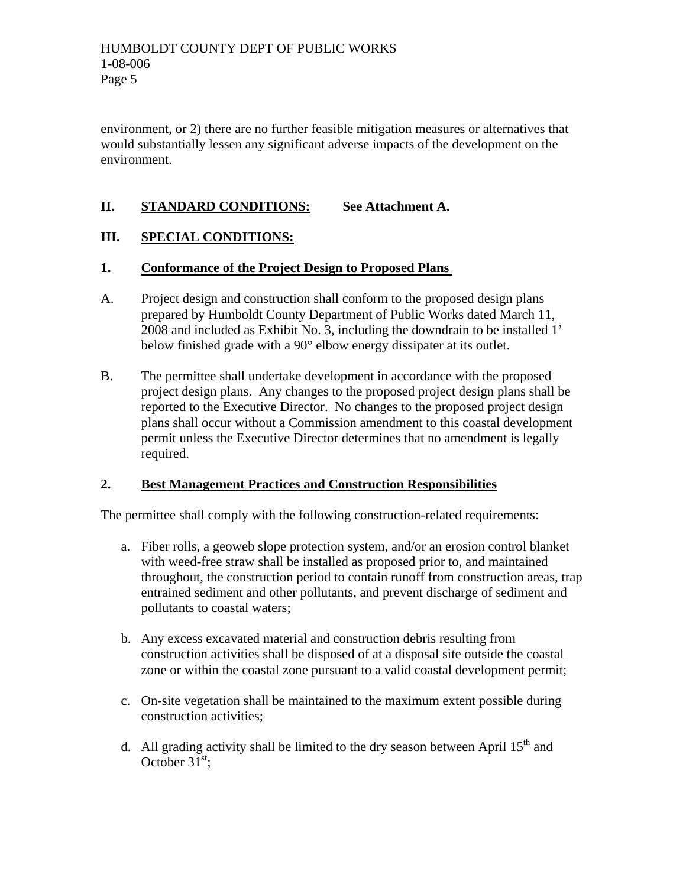environment, or 2) there are no further feasible mitigation measures or alternatives that would substantially lessen any significant adverse impacts of the development on the environment.

# **II. STANDARD CONDITIONS: See Attachment A.**

## **III. SPECIAL CONDITIONS:**

#### **1. Conformance of the Project Design to Proposed Plans**

- A. Project design and construction shall conform to the proposed design plans prepared by Humboldt County Department of Public Works dated March 11, 2008 and included as Exhibit No. 3, including the downdrain to be installed 1' below finished grade with a 90° elbow energy dissipater at its outlet.
- B. The permittee shall undertake development in accordance with the proposed project design plans. Any changes to the proposed project design plans shall be reported to the Executive Director. No changes to the proposed project design plans shall occur without a Commission amendment to this coastal development permit unless the Executive Director determines that no amendment is legally required.

#### **2. Best Management Practices and Construction Responsibilities**

The permittee shall comply with the following construction-related requirements:

- a. Fiber rolls, a geoweb slope protection system, and/or an erosion control blanket with weed-free straw shall be installed as proposed prior to, and maintained throughout, the construction period to contain runoff from construction areas, trap entrained sediment and other pollutants, and prevent discharge of sediment and pollutants to coastal waters;
- b. Any excess excavated material and construction debris resulting from construction activities shall be disposed of at a disposal site outside the coastal zone or within the coastal zone pursuant to a valid coastal development permit;
- c. On-site vegetation shall be maintained to the maximum extent possible during construction activities;
- d. All grading activity shall be limited to the dry season between April  $15<sup>th</sup>$  and October  $31^{\text{st}}$ ;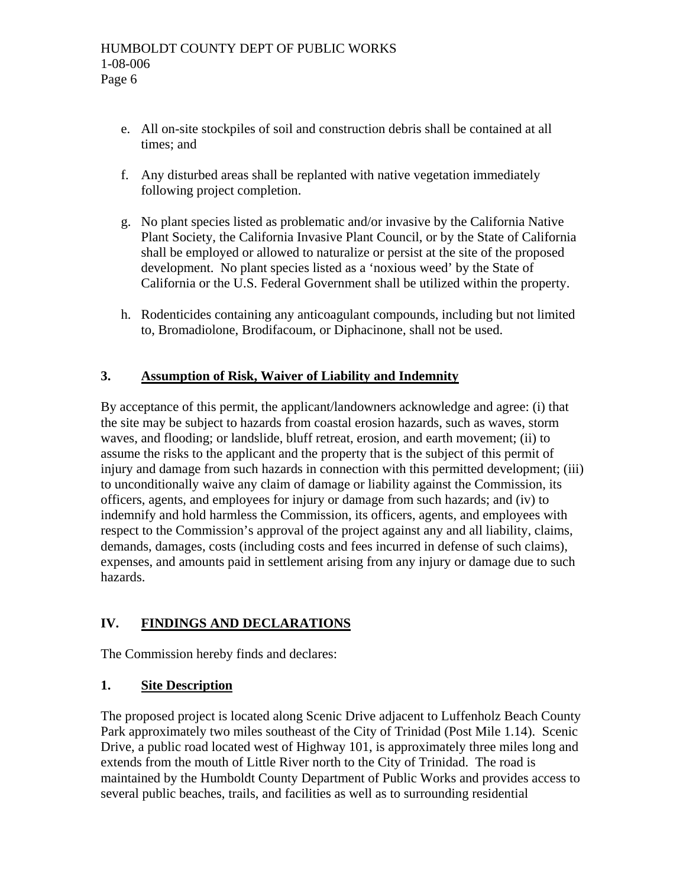- e. All on-site stockpiles of soil and construction debris shall be contained at all times; and
- f. Any disturbed areas shall be replanted with native vegetation immediately following project completion.
- g. No plant species listed as problematic and/or invasive by the California Native Plant Society, the California Invasive Plant Council, or by the State of California shall be employed or allowed to naturalize or persist at the site of the proposed development. No plant species listed as a 'noxious weed' by the State of California or the U.S. Federal Government shall be utilized within the property.
- h. Rodenticides containing any anticoagulant compounds, including but not limited to, Bromadiolone, Brodifacoum, or Diphacinone, shall not be used.

# **3. Assumption of Risk, Waiver of Liability and Indemnity**

By acceptance of this permit, the applicant/landowners acknowledge and agree: (i) that the site may be subject to hazards from coastal erosion hazards, such as waves, storm waves, and flooding; or landslide, bluff retreat, erosion, and earth movement; (ii) to assume the risks to the applicant and the property that is the subject of this permit of injury and damage from such hazards in connection with this permitted development; (iii) to unconditionally waive any claim of damage or liability against the Commission, its officers, agents, and employees for injury or damage from such hazards; and (iv) to indemnify and hold harmless the Commission, its officers, agents, and employees with respect to the Commission's approval of the project against any and all liability, claims, demands, damages, costs (including costs and fees incurred in defense of such claims), expenses, and amounts paid in settlement arising from any injury or damage due to such hazards.

# **IV. FINDINGS AND DECLARATIONS**

The Commission hereby finds and declares:

# **1. Site Description**

The proposed project is located along Scenic Drive adjacent to Luffenholz Beach County Park approximately two miles southeast of the City of Trinidad (Post Mile 1.14). Scenic Drive, a public road located west of Highway 101, is approximately three miles long and extends from the mouth of Little River north to the City of Trinidad. The road is maintained by the Humboldt County Department of Public Works and provides access to several public beaches, trails, and facilities as well as to surrounding residential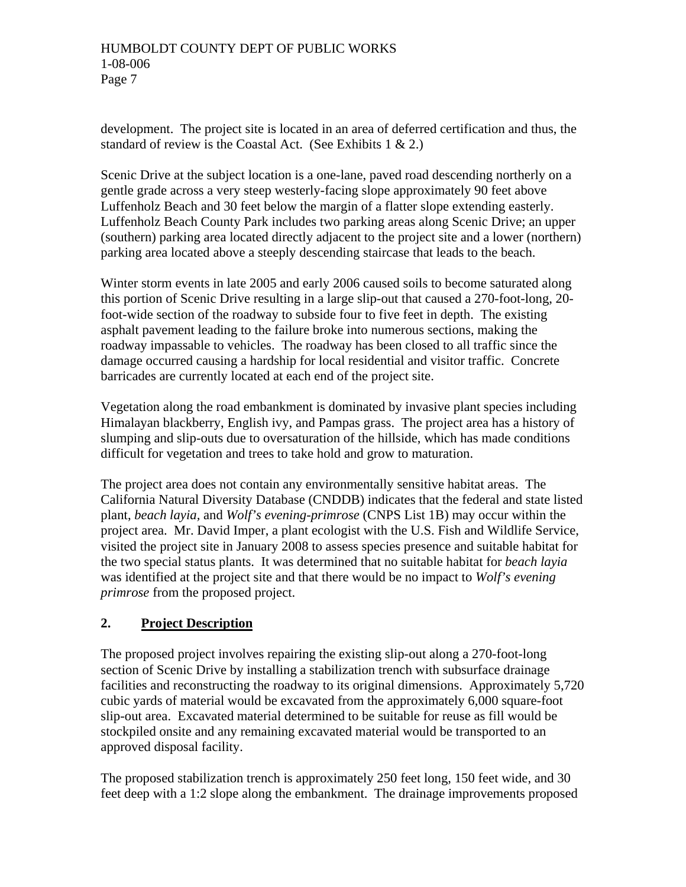development. The project site is located in an area of deferred certification and thus, the standard of review is the Coastal Act. (See Exhibits  $1 \& 2$ .)

Scenic Drive at the subject location is a one-lane, paved road descending northerly on a gentle grade across a very steep westerly-facing slope approximately 90 feet above Luffenholz Beach and 30 feet below the margin of a flatter slope extending easterly. Luffenholz Beach County Park includes two parking areas along Scenic Drive; an upper (southern) parking area located directly adjacent to the project site and a lower (northern) parking area located above a steeply descending staircase that leads to the beach.

Winter storm events in late 2005 and early 2006 caused soils to become saturated along this portion of Scenic Drive resulting in a large slip-out that caused a 270-foot-long, 20 foot-wide section of the roadway to subside four to five feet in depth. The existing asphalt pavement leading to the failure broke into numerous sections, making the roadway impassable to vehicles. The roadway has been closed to all traffic since the damage occurred causing a hardship for local residential and visitor traffic. Concrete barricades are currently located at each end of the project site.

Vegetation along the road embankment is dominated by invasive plant species including Himalayan blackberry, English ivy, and Pampas grass. The project area has a history of slumping and slip-outs due to oversaturation of the hillside, which has made conditions difficult for vegetation and trees to take hold and grow to maturation.

The project area does not contain any environmentally sensitive habitat areas. The California Natural Diversity Database (CNDDB) indicates that the federal and state listed plant, *beach layia,* and *Wolf's evening-primrose* (CNPS List 1B) may occur within the project area. Mr. David Imper, a plant ecologist with the U.S. Fish and Wildlife Service, visited the project site in January 2008 to assess species presence and suitable habitat for the two special status plants. It was determined that no suitable habitat for *beach layia* was identified at the project site and that there would be no impact to *Wolf's evening primrose* from the proposed project.

# **2. Project Description**

The proposed project involves repairing the existing slip-out along a 270-foot-long section of Scenic Drive by installing a stabilization trench with subsurface drainage facilities and reconstructing the roadway to its original dimensions. Approximately 5,720 cubic yards of material would be excavated from the approximately 6,000 square-foot slip-out area. Excavated material determined to be suitable for reuse as fill would be stockpiled onsite and any remaining excavated material would be transported to an approved disposal facility.

The proposed stabilization trench is approximately 250 feet long, 150 feet wide, and 30 feet deep with a 1:2 slope along the embankment. The drainage improvements proposed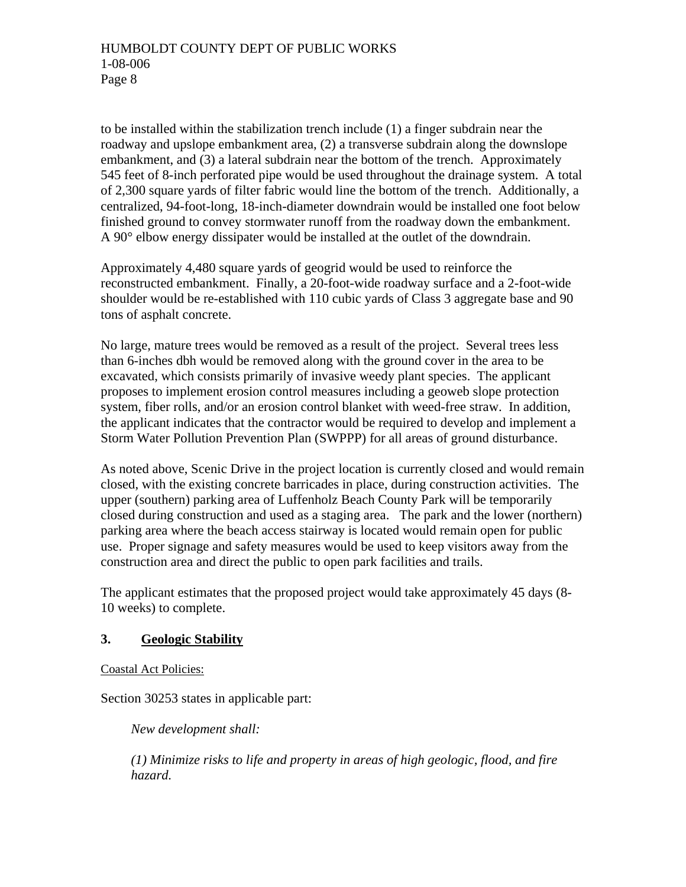to be installed within the stabilization trench include (1) a finger subdrain near the roadway and upslope embankment area, (2) a transverse subdrain along the downslope embankment, and (3) a lateral subdrain near the bottom of the trench. Approximately 545 feet of 8-inch perforated pipe would be used throughout the drainage system. A total of 2,300 square yards of filter fabric would line the bottom of the trench. Additionally, a centralized, 94-foot-long, 18-inch-diameter downdrain would be installed one foot below finished ground to convey stormwater runoff from the roadway down the embankment. A 90° elbow energy dissipater would be installed at the outlet of the downdrain.

Approximately 4,480 square yards of geogrid would be used to reinforce the reconstructed embankment. Finally, a 20-foot-wide roadway surface and a 2-foot-wide shoulder would be re-established with 110 cubic yards of Class 3 aggregate base and 90 tons of asphalt concrete.

No large, mature trees would be removed as a result of the project. Several trees less than 6-inches dbh would be removed along with the ground cover in the area to be excavated, which consists primarily of invasive weedy plant species. The applicant proposes to implement erosion control measures including a geoweb slope protection system, fiber rolls, and/or an erosion control blanket with weed-free straw. In addition, the applicant indicates that the contractor would be required to develop and implement a Storm Water Pollution Prevention Plan (SWPPP) for all areas of ground disturbance.

As noted above, Scenic Drive in the project location is currently closed and would remain closed, with the existing concrete barricades in place, during construction activities. The upper (southern) parking area of Luffenholz Beach County Park will be temporarily closed during construction and used as a staging area. The park and the lower (northern) parking area where the beach access stairway is located would remain open for public use. Proper signage and safety measures would be used to keep visitors away from the construction area and direct the public to open park facilities and trails.

The applicant estimates that the proposed project would take approximately 45 days (8- 10 weeks) to complete.

# **3. Geologic Stability**

Coastal Act Policies:

Section 30253 states in applicable part:

*New development shall:* 

*(1) Minimize risks to life and property in areas of high geologic, flood, and fire hazard.*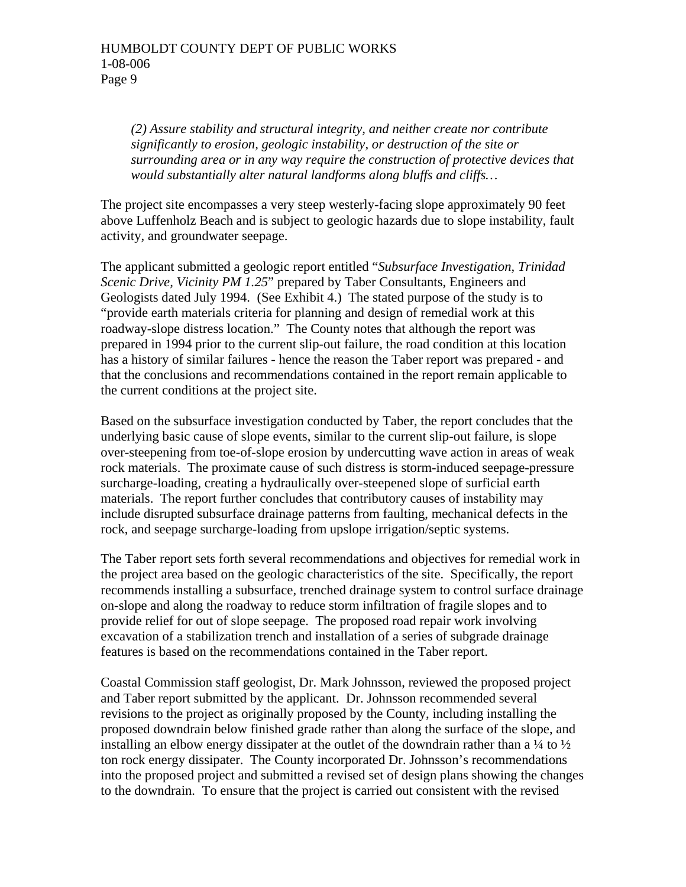*(2) Assure stability and structural integrity, and neither create nor contribute significantly to erosion, geologic instability, or destruction of the site or surrounding area or in any way require the construction of protective devices that would substantially alter natural landforms along bluffs and cliffs…* 

The project site encompasses a very steep westerly-facing slope approximately 90 feet above Luffenholz Beach and is subject to geologic hazards due to slope instability, fault activity, and groundwater seepage.

The applicant submitted a geologic report entitled "*Subsurface Investigation, Trinidad Scenic Drive, Vicinity PM 1.25*" prepared by Taber Consultants, Engineers and Geologists dated July 1994. (See Exhibit 4.) The stated purpose of the study is to "provide earth materials criteria for planning and design of remedial work at this roadway-slope distress location." The County notes that although the report was prepared in 1994 prior to the current slip-out failure, the road condition at this location has a history of similar failures - hence the reason the Taber report was prepared - and that the conclusions and recommendations contained in the report remain applicable to the current conditions at the project site.

Based on the subsurface investigation conducted by Taber, the report concludes that the underlying basic cause of slope events, similar to the current slip-out failure, is slope over-steepening from toe-of-slope erosion by undercutting wave action in areas of weak rock materials. The proximate cause of such distress is storm-induced seepage-pressure surcharge-loading, creating a hydraulically over-steepened slope of surficial earth materials. The report further concludes that contributory causes of instability may include disrupted subsurface drainage patterns from faulting, mechanical defects in the rock, and seepage surcharge-loading from upslope irrigation/septic systems.

The Taber report sets forth several recommendations and objectives for remedial work in the project area based on the geologic characteristics of the site. Specifically, the report recommends installing a subsurface, trenched drainage system to control surface drainage on-slope and along the roadway to reduce storm infiltration of fragile slopes and to provide relief for out of slope seepage. The proposed road repair work involving excavation of a stabilization trench and installation of a series of subgrade drainage features is based on the recommendations contained in the Taber report.

Coastal Commission staff geologist, Dr. Mark Johnsson, reviewed the proposed project and Taber report submitted by the applicant. Dr. Johnsson recommended several revisions to the project as originally proposed by the County, including installing the proposed downdrain below finished grade rather than along the surface of the slope, and installing an elbow energy dissipater at the outlet of the downdrain rather than a  $\frac{1}{4}$  to  $\frac{1}{2}$ ton rock energy dissipater. The County incorporated Dr. Johnsson's recommendations into the proposed project and submitted a revised set of design plans showing the changes to the downdrain. To ensure that the project is carried out consistent with the revised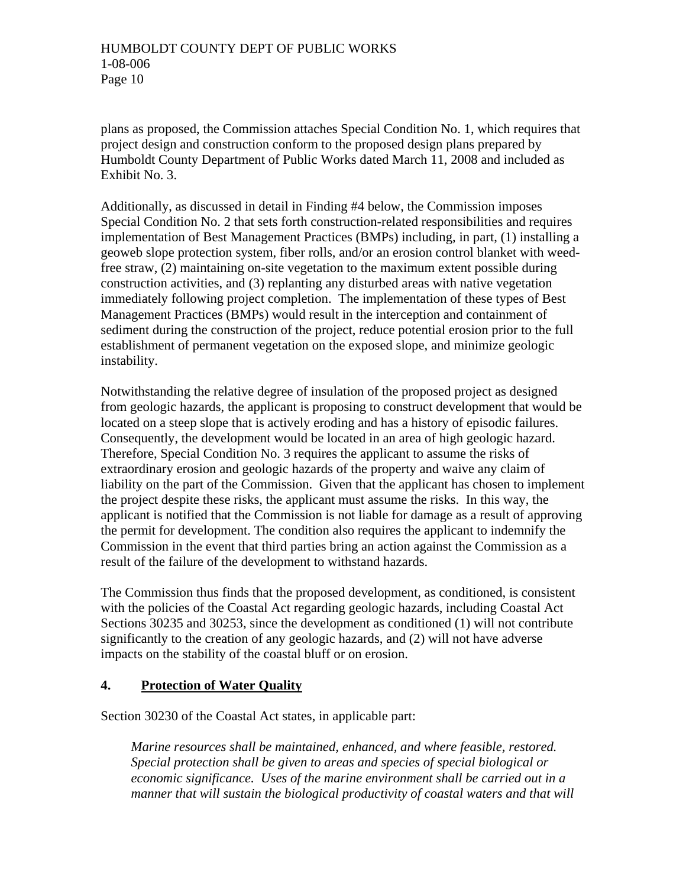plans as proposed, the Commission attaches Special Condition No. 1, which requires that project design and construction conform to the proposed design plans prepared by Humboldt County Department of Public Works dated March 11, 2008 and included as Exhibit No. 3.

Additionally, as discussed in detail in Finding #4 below, the Commission imposes Special Condition No. 2 that sets forth construction-related responsibilities and requires implementation of Best Management Practices (BMPs) including, in part, (1) installing a geoweb slope protection system, fiber rolls, and/or an erosion control blanket with weedfree straw, (2) maintaining on-site vegetation to the maximum extent possible during construction activities, and (3) replanting any disturbed areas with native vegetation immediately following project completion. The implementation of these types of Best Management Practices (BMPs) would result in the interception and containment of sediment during the construction of the project, reduce potential erosion prior to the full establishment of permanent vegetation on the exposed slope, and minimize geologic instability.

Notwithstanding the relative degree of insulation of the proposed project as designed from geologic hazards, the applicant is proposing to construct development that would be located on a steep slope that is actively eroding and has a history of episodic failures. Consequently, the development would be located in an area of high geologic hazard. Therefore, Special Condition No. 3 requires the applicant to assume the risks of extraordinary erosion and geologic hazards of the property and waive any claim of liability on the part of the Commission. Given that the applicant has chosen to implement the project despite these risks, the applicant must assume the risks. In this way, the applicant is notified that the Commission is not liable for damage as a result of approving the permit for development. The condition also requires the applicant to indemnify the Commission in the event that third parties bring an action against the Commission as a result of the failure of the development to withstand hazards.

The Commission thus finds that the proposed development, as conditioned, is consistent with the policies of the Coastal Act regarding geologic hazards, including Coastal Act Sections 30235 and 30253, since the development as conditioned (1) will not contribute significantly to the creation of any geologic hazards, and (2) will not have adverse impacts on the stability of the coastal bluff or on erosion.

#### **4. Protection of Water Quality**

Section 30230 of the Coastal Act states, in applicable part:

 *Marine resources shall be maintained, enhanced, and where feasible, restored. Special protection shall be given to areas and species of special biological or economic significance. Uses of the marine environment shall be carried out in a manner that will sustain the biological productivity of coastal waters and that will*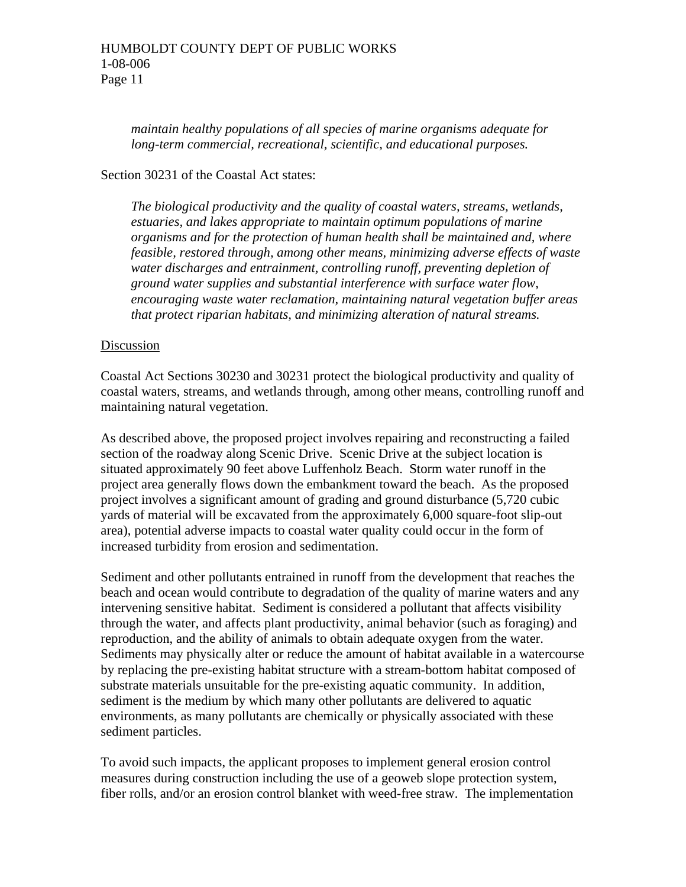*maintain healthy populations of all species of marine organisms adequate for long-term commercial, recreational, scientific, and educational purposes.* 

#### Section 30231 of the Coastal Act states:

*The biological productivity and the quality of coastal waters, streams, wetlands, estuaries, and lakes appropriate to maintain optimum populations of marine organisms and for the protection of human health shall be maintained and, where feasible, restored through, among other means, minimizing adverse effects of waste water discharges and entrainment, controlling runoff, preventing depletion of ground water supplies and substantial interference with surface water flow, encouraging waste water reclamation, maintaining natural vegetation buffer areas that protect riparian habitats, and minimizing alteration of natural streams.* 

#### Discussion

Coastal Act Sections 30230 and 30231 protect the biological productivity and quality of coastal waters, streams, and wetlands through, among other means, controlling runoff and maintaining natural vegetation.

As described above, the proposed project involves repairing and reconstructing a failed section of the roadway along Scenic Drive. Scenic Drive at the subject location is situated approximately 90 feet above Luffenholz Beach. Storm water runoff in the project area generally flows down the embankment toward the beach. As the proposed project involves a significant amount of grading and ground disturbance (5,720 cubic yards of material will be excavated from the approximately 6,000 square-foot slip-out area), potential adverse impacts to coastal water quality could occur in the form of increased turbidity from erosion and sedimentation.

Sediment and other pollutants entrained in runoff from the development that reaches the beach and ocean would contribute to degradation of the quality of marine waters and any intervening sensitive habitat. Sediment is considered a pollutant that affects visibility through the water, and affects plant productivity, animal behavior (such as foraging) and reproduction, and the ability of animals to obtain adequate oxygen from the water. Sediments may physically alter or reduce the amount of habitat available in a watercourse by replacing the pre-existing habitat structure with a stream-bottom habitat composed of substrate materials unsuitable for the pre-existing aquatic community. In addition, sediment is the medium by which many other pollutants are delivered to aquatic environments, as many pollutants are chemically or physically associated with these sediment particles.

To avoid such impacts, the applicant proposes to implement general erosion control measures during construction including the use of a geoweb slope protection system, fiber rolls, and/or an erosion control blanket with weed-free straw. The implementation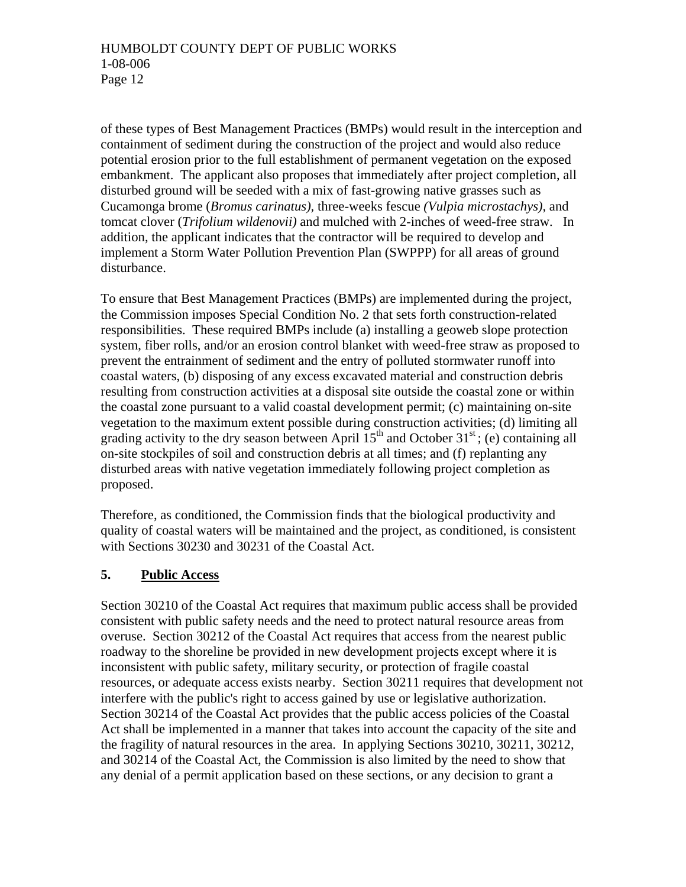of these types of Best Management Practices (BMPs) would result in the interception and containment of sediment during the construction of the project and would also reduce potential erosion prior to the full establishment of permanent vegetation on the exposed embankment. The applicant also proposes that immediately after project completion, all disturbed ground will be seeded with a mix of fast-growing native grasses such as Cucamonga brome (*Bromus carinatus),* three-weeks fescue *(Vulpia microstachys),* and tomcat clover (*Trifolium wildenovii)* and mulched with 2-inches of weed-free straw. In addition, the applicant indicates that the contractor will be required to develop and implement a Storm Water Pollution Prevention Plan (SWPPP) for all areas of ground disturbance.

To ensure that Best Management Practices (BMPs) are implemented during the project, the Commission imposes Special Condition No. 2 that sets forth construction-related responsibilities. These required BMPs include (a) installing a geoweb slope protection system, fiber rolls, and/or an erosion control blanket with weed-free straw as proposed to prevent the entrainment of sediment and the entry of polluted stormwater runoff into coastal waters, (b) disposing of any excess excavated material and construction debris resulting from construction activities at a disposal site outside the coastal zone or within the coastal zone pursuant to a valid coastal development permit; (c) maintaining on-site vegetation to the maximum extent possible during construction activities; (d) limiting all grading activity to the dry season between April  $15<sup>th</sup>$  and October 31<sup>st</sup>; (e) containing all on-site stockpiles of soil and construction debris at all times; and (f) replanting any disturbed areas with native vegetation immediately following project completion as proposed.

Therefore, as conditioned, the Commission finds that the biological productivity and quality of coastal waters will be maintained and the project, as conditioned, is consistent with Sections 30230 and 30231 of the Coastal Act.

# **5. Public Access**

Section 30210 of the Coastal Act requires that maximum public access shall be provided consistent with public safety needs and the need to protect natural resource areas from overuse. Section 30212 of the Coastal Act requires that access from the nearest public roadway to the shoreline be provided in new development projects except where it is inconsistent with public safety, military security, or protection of fragile coastal resources, or adequate access exists nearby. Section 30211 requires that development not interfere with the public's right to access gained by use or legislative authorization. Section 30214 of the Coastal Act provides that the public access policies of the Coastal Act shall be implemented in a manner that takes into account the capacity of the site and the fragility of natural resources in the area. In applying Sections 30210, 30211, 30212, and 30214 of the Coastal Act, the Commission is also limited by the need to show that any denial of a permit application based on these sections, or any decision to grant a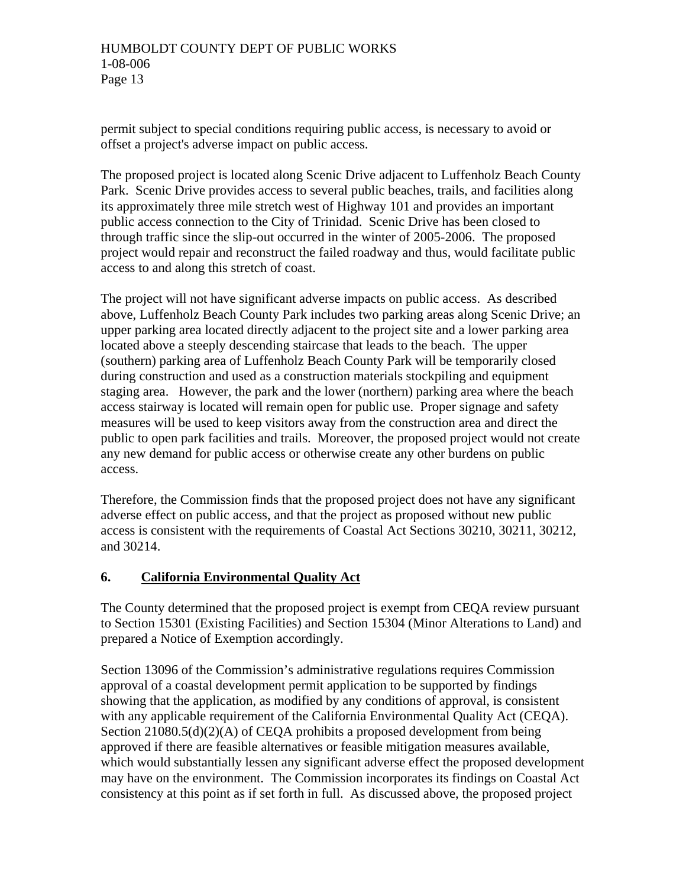permit subject to special conditions requiring public access, is necessary to avoid or offset a project's adverse impact on public access.

The proposed project is located along Scenic Drive adjacent to Luffenholz Beach County Park. Scenic Drive provides access to several public beaches, trails, and facilities along its approximately three mile stretch west of Highway 101 and provides an important public access connection to the City of Trinidad. Scenic Drive has been closed to through traffic since the slip-out occurred in the winter of 2005-2006. The proposed project would repair and reconstruct the failed roadway and thus, would facilitate public access to and along this stretch of coast.

The project will not have significant adverse impacts on public access. As described above, Luffenholz Beach County Park includes two parking areas along Scenic Drive; an upper parking area located directly adjacent to the project site and a lower parking area located above a steeply descending staircase that leads to the beach. The upper (southern) parking area of Luffenholz Beach County Park will be temporarily closed during construction and used as a construction materials stockpiling and equipment staging area. However, the park and the lower (northern) parking area where the beach access stairway is located will remain open for public use. Proper signage and safety measures will be used to keep visitors away from the construction area and direct the public to open park facilities and trails. Moreover, the proposed project would not create any new demand for public access or otherwise create any other burdens on public access.

Therefore, the Commission finds that the proposed project does not have any significant adverse effect on public access, and that the project as proposed without new public access is consistent with the requirements of Coastal Act Sections 30210, 30211, 30212, and 30214.

# **6. California Environmental Quality Act**

The County determined that the proposed project is exempt from CEQA review pursuant to Section 15301 (Existing Facilities) and Section 15304 (Minor Alterations to Land) and prepared a Notice of Exemption accordingly.

Section 13096 of the Commission's administrative regulations requires Commission approval of a coastal development permit application to be supported by findings showing that the application, as modified by any conditions of approval, is consistent with any applicable requirement of the California Environmental Quality Act (CEQA). Section 21080.5(d)(2)(A) of CEQA prohibits a proposed development from being approved if there are feasible alternatives or feasible mitigation measures available, which would substantially lessen any significant adverse effect the proposed development may have on the environment. The Commission incorporates its findings on Coastal Act consistency at this point as if set forth in full. As discussed above, the proposed project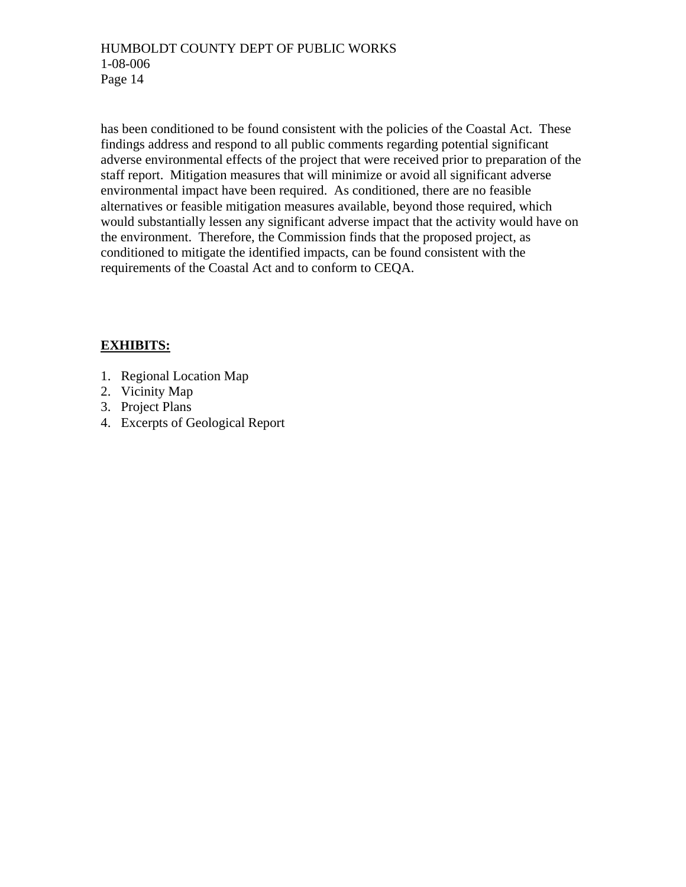has been conditioned to be found consistent with the policies of the Coastal Act. These findings address and respond to all public comments regarding potential significant adverse environmental effects of the project that were received prior to preparation of the staff report. Mitigation measures that will minimize or avoid all significant adverse environmental impact have been required. As conditioned, there are no feasible alternatives or feasible mitigation measures available, beyond those required, which would substantially lessen any significant adverse impact that the activity would have on the environment. Therefore, the Commission finds that the proposed project, as conditioned to mitigate the identified impacts, can be found consistent with the requirements of the Coastal Act and to conform to CEQA.

# **EXHIBITS:**

- 1. Regional Location Map
- 2. Vicinity Map
- 3. Project Plans
- 4. Excerpts of Geological Report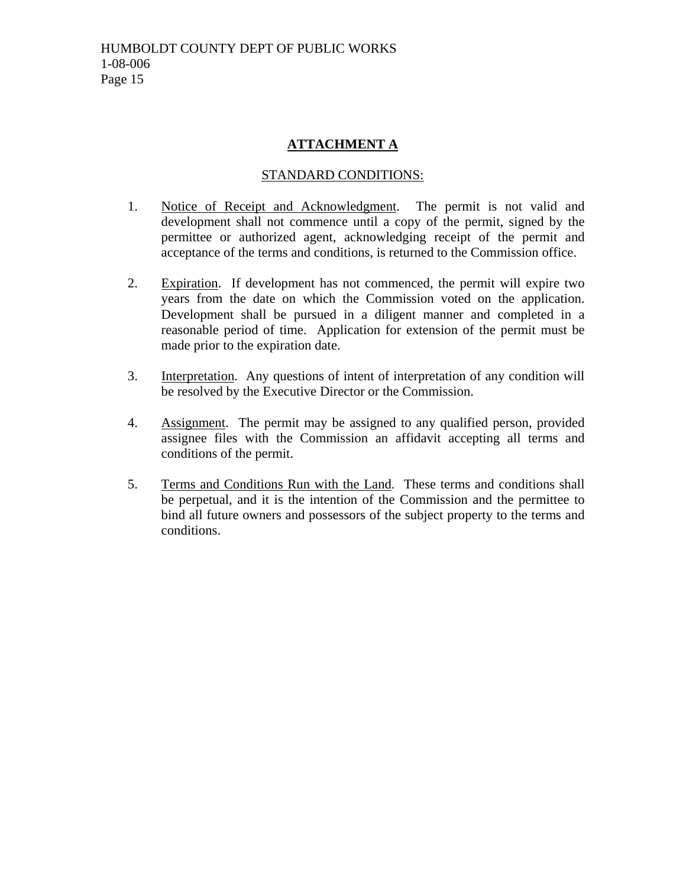# **ATTACHMENT A**

# STANDARD CONDITIONS:

- 1. Notice of Receipt and Acknowledgment. The permit is not valid and development shall not commence until a copy of the permit, signed by the permittee or authorized agent, acknowledging receipt of the permit and acceptance of the terms and conditions, is returned to the Commission office.
- 2. Expiration. If development has not commenced, the permit will expire two years from the date on which the Commission voted on the application. Development shall be pursued in a diligent manner and completed in a reasonable period of time. Application for extension of the permit must be made prior to the expiration date.
- 3. Interpretation. Any questions of intent of interpretation of any condition will be resolved by the Executive Director or the Commission.
- 4. Assignment. The permit may be assigned to any qualified person, provided assignee files with the Commission an affidavit accepting all terms and conditions of the permit.
- 5. Terms and Conditions Run with the Land. These terms and conditions shall be perpetual, and it is the intention of the Commission and the permittee to bind all future owners and possessors of the subject property to the terms and conditions.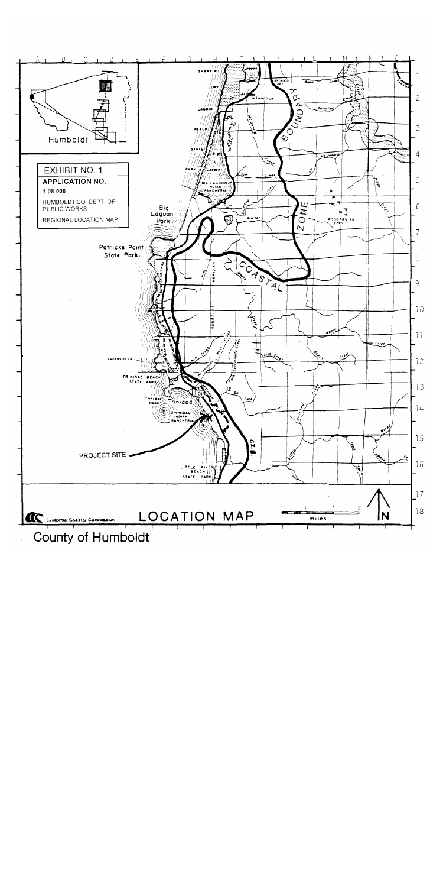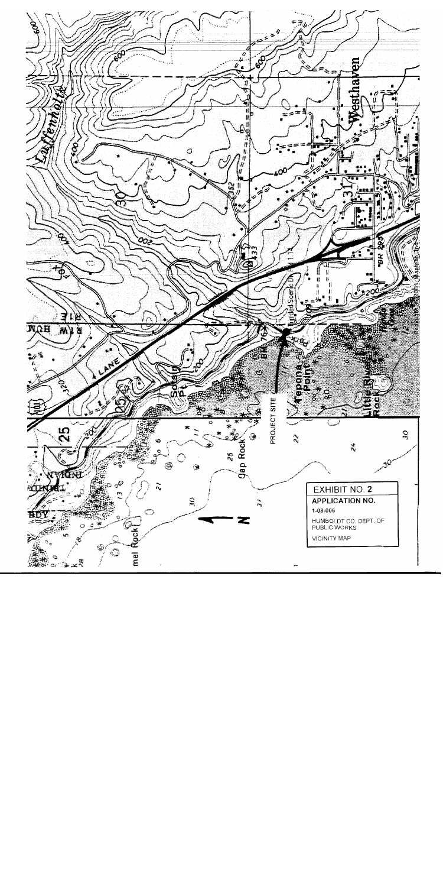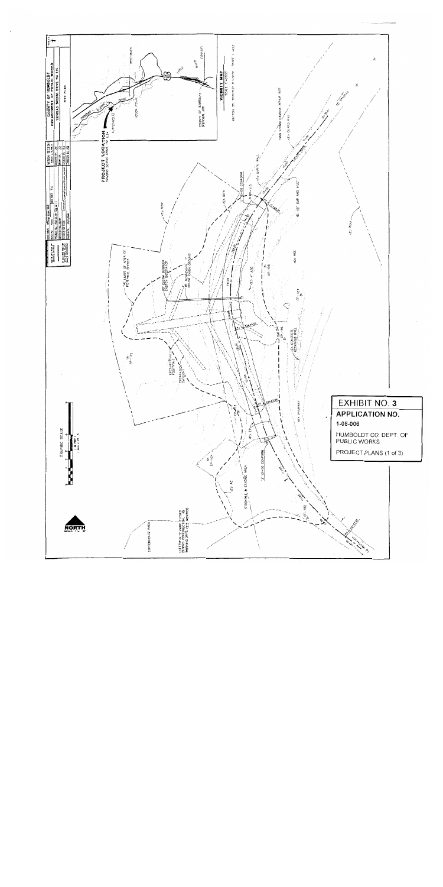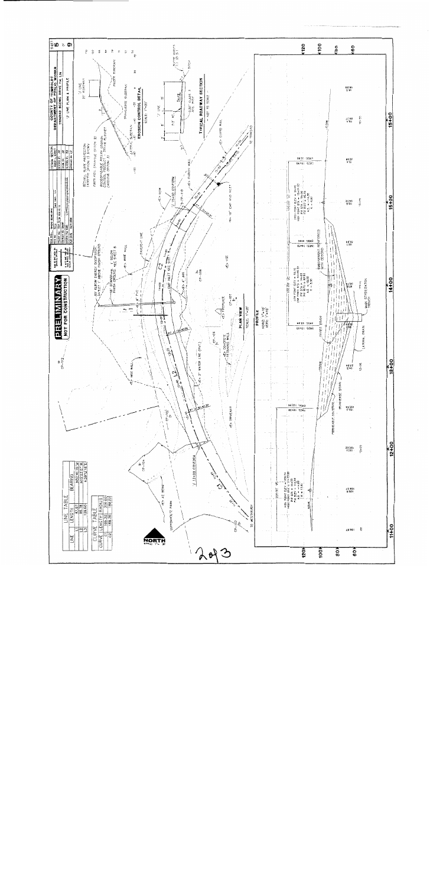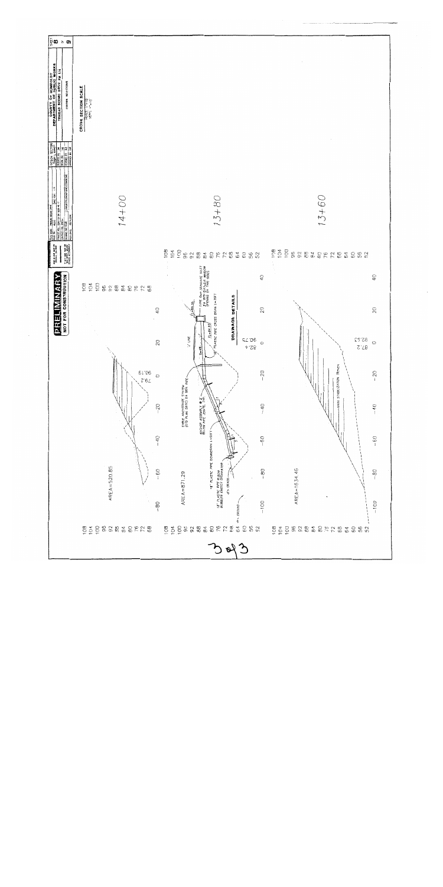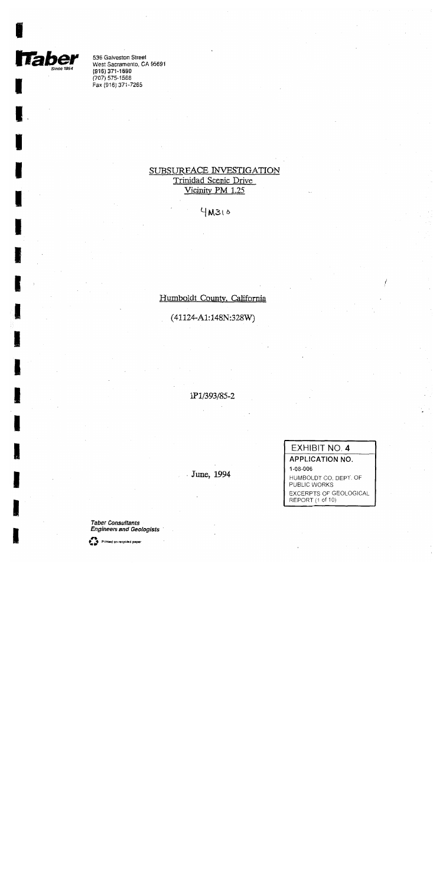

536 Galveston Street West Sacramento, CA 95691 (916) 371-1690  $(707) 575 - 1568$ Fax (916) 371-7265

# SUBSURFACE INVESTIGATION Trinidad Scenic Drive Vicinity PM 1.25

 $4MS10$ 

Humboldt County, California

 $(41124-A1:148N:328W)$ 

1P1/393/85-2

June, 1994

EXHIBIT NO. 4 **APPLICATION NO.** 1-08-006 HUMBOLDT CO. DEPT. OF PUBLIC WORKS EXCERPTS OF GEOLOGICAL

REPORT (1 of 10)

**Taber Consultants Engineers and Geologists** 

Printed on recycled paper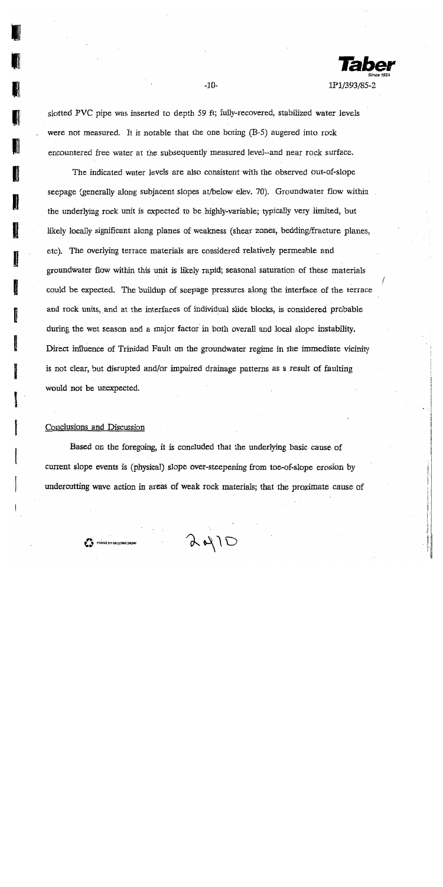

slotted PVC pipe was inserted to depth 59 ft; fully-recovered, stabilized water levels were not measured. It is notable that the one boring (B-5) augered into rock encountered free water at the subsequently measured level--and near rock surface.

 $-10-$ 

The indicated water levels are also consistent with the observed out-of-slope seepage (generally along subjacent slopes at/below elev. 70). Groundwater flow within the underlying rock unit is expected to be highly-variable; typically very limited, but likely locally significant along planes of weakness (shear zones, bedding/fracture planes, etc). The overlying terrace materials are considered relatively permeable and groundwater flow within this unit is likely rapid; seasonal saturation of these materials could be expected. The buildup of seepage pressures along the interface of the terrace and rock units, and at the interfaces of individual slide blocks, is considered probable during the wet season and a major factor in both overall and local slope instability. Direct influence of Trinidad Fault on the groundwater regime in the immediate vicinity is not clear, but disrupted and/or impaired drainage patterns as a result of faulting would not be unexpected.

#### Conclusions and Discussion

Based on the foregoing, it is concluded that the underlying basic cause of current slope events is (physical) slope over-steepening from toe-of-slope erosion by undercutting wave action in areas of weak rock materials; that the proximate cause of

 $A410$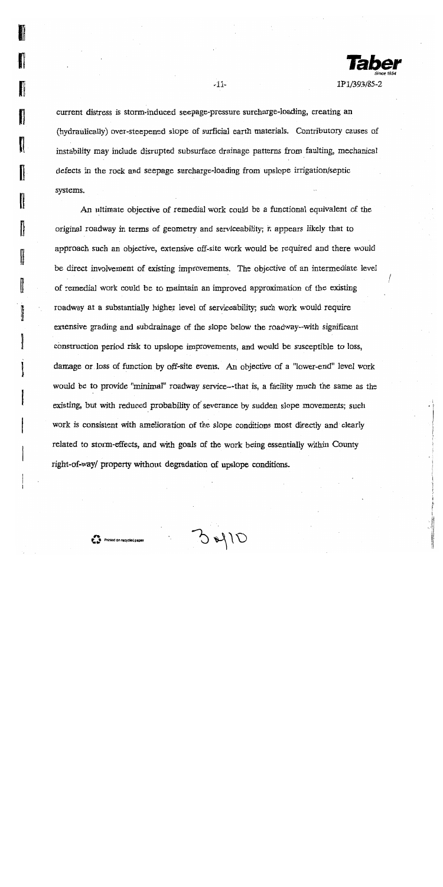

current distress is storm-induced seepage-pressure surcharge-loading, creating an (hydraulically) over-steepened slope of surficial earth materials. Contributory causes of instability may include disrupted subsurface drainage patterns from faulting, mechanical defects in the rock and seepage surcharge-loading from upslope irrigation/septic systems.

 $-11-$ 

An ultimate objective of remedial work could be a functional equivalent of the original roadway in terms of geometry and serviceability; it appears likely that to approach such an objective, extensive off-site work would be required and there would be direct involvement of existing improvements. The objective of an intermediate level of remedial work could be to maintain an improved approximation of the existing roadway at a substantially higher level of serviceability; such work would require extensive grading and subdrainage of the slope below the roadway-with significant construction period risk to upslope improvements, and would be susceptible to loss, damage or loss of function by off-site events. An objective of a "lower-end" level work would be to provide "minimal" roadway service—that is, a facility much the same as the existing, but with reduced probability of severance by sudden slope movements; such work is consistent with amelioration of the slope conditions most directly and clearly related to storm-effects, and with goals of the work being essentially within County right-of-way/ property without degradation of upslope conditions.

 $O(Nd)$ 

Ï

I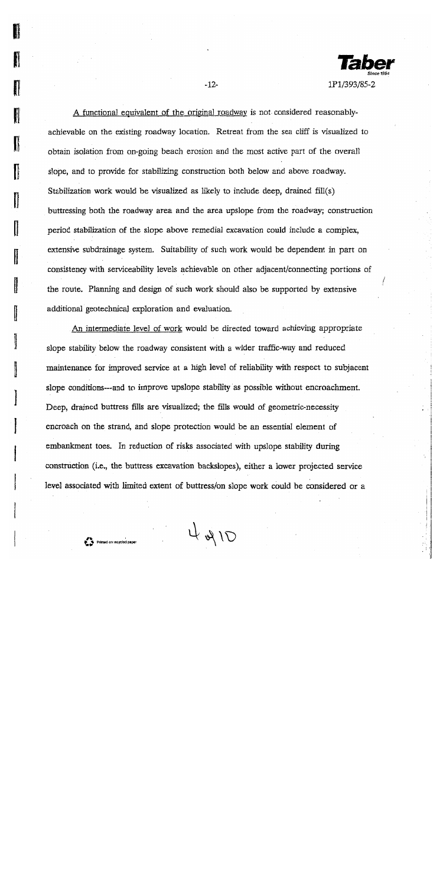

A functional equivalent of the original roadway is not considered reasonablyachievable on the existing roadway location. Retreat from the sea cliff is visualized to obtain isolation from on-going beach erosion and the most active part of the overall slope, and to provide for stabilizing construction both below and above roadway. Stabilization work would be visualized as likely to include deep, drained fill(s) buttressing both the roadway area and the area upslope from the roadway; construction period stabilization of the slope above remedial excavation could include a complex, extensive subdrainage system. Suitability of such work would be dependent in part on consistency with serviceability levels achievable on other adjacent/connecting portions of the route. Planning and design of such work should also be supported by extensive additional geotechnical exploration and evaluation.

 $-12-$ 

An intermediate level of work would be directed toward achieving appropriate slope stability below the roadway consistent with a wider traffic-way and reduced maintenance for improved service at a high level of reliability with respect to subjacent slope conditions—and to improve upslope stability as possible without encroachment. Deep, drained buttress fills are visualized; the fills would of geometric-necessity encroach on the strand, and slope protection would be an essential element of embankment toes. In reduction of risks associated with upslope stability during construction (i.e., the buttress excavation backslopes), either a lower projected service level associated with limited extent of buttress/on slope work could be considered or a

 $T/RH$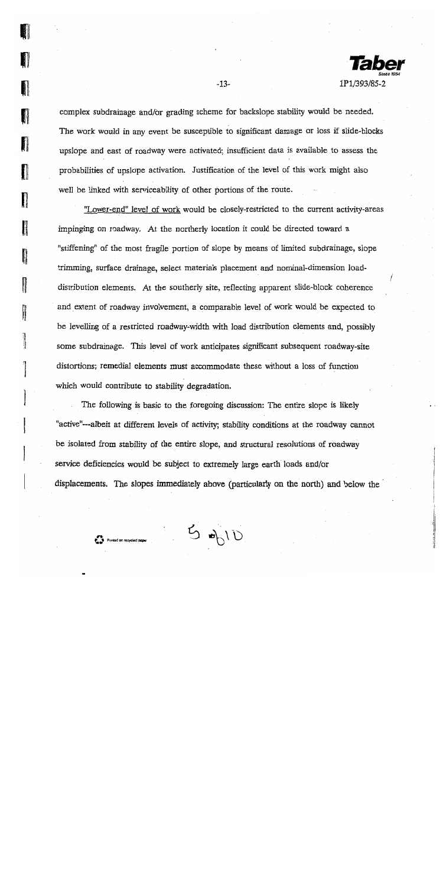1P1/393/85-2

complex subdrainage and/or grading scheme for backslope stability would be needed. The work would in any event be susceptible to significant damage or loss if slide-blocks upslope and east of roadway were activated; insufficient data is available to assess the probabilities of upslope activation. Justification of the level of this work might also well be linked with serviceability of other portions of the route.

"Lower-end" level of work would be closely-restricted to the current activity-areas impinging on roadway. At the northerly location it could be directed toward a "stiffening" of the most fragile portion of slope by means of limited subdrainage, slope trimming, surface drainage, select materials placement and nominal-dimension loaddistribution elements. At the southerly site, reflecting apparent slide-block coherence and extent of roadway involvement, a comparable level of work would be expected to be levelling of a restricted roadway-width with load distribution elements and, possibly some subdrainage. This level of work anticipates significant subsequent roadway-site distortions; remedial elements must accommodate these without a loss of function which would contribute to stability degradation.

The following is basic to the foregoing discussion: The entire slope is likely "active"—albeit at different levels of activity; stability conditions at the roadway cannot be isolated from stability of the entire slope, and structural resolutions of roadway service deficiencies would be subject to extremely large earth loads and/or displacements. The slopes immediately above (particularly on the north) and below the

 $U/d$   $\sigma$ 

Parties Printed on recycled paper

**ANGER** 

 $\frac{1}{2}$ 

takin.<br>K

II

J

 $-13-$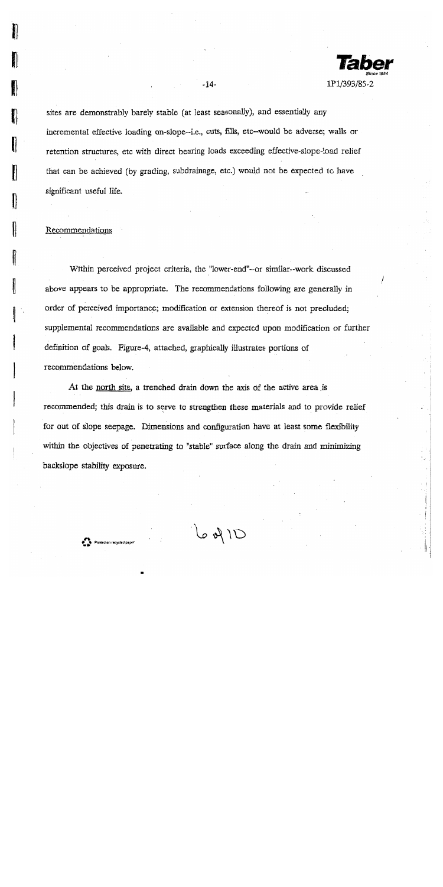

sites are demonstrably barely stable (at least seasonally), and essentially any incremental effective loading on-slope--i.e., cuts, fills, etc--would be adverse; walls or retention structures, etc with direct bearing loads exceeding effective-slope-load relief that can be achieved (by grading, subdrainage, etc.) would not be expected to have significant useful life.

 $-14-$ 

#### Recommendations

Within perceived project criteria, the "lower-end"--or similar--work discussed above appears to be appropriate. The recommendations following are generally in order of perceived importance; modification or extension thereof is not precluded; supplemental recommendations are available and expected upon modification or further definition of goals. Figure-4, attached, graphically illustrates portions of recommendations below.

At the north site, a trenched drain down the axis of the active area is recommended; this drain is to serve to strengthen these materials and to provide relief for out of slope seepage. Dimensions and configuration have at least some flexibility within the objectives of penetrating to "stable" surface along the drain and minimizing backslope stability exposure.

 $U \uparrow \phi$  al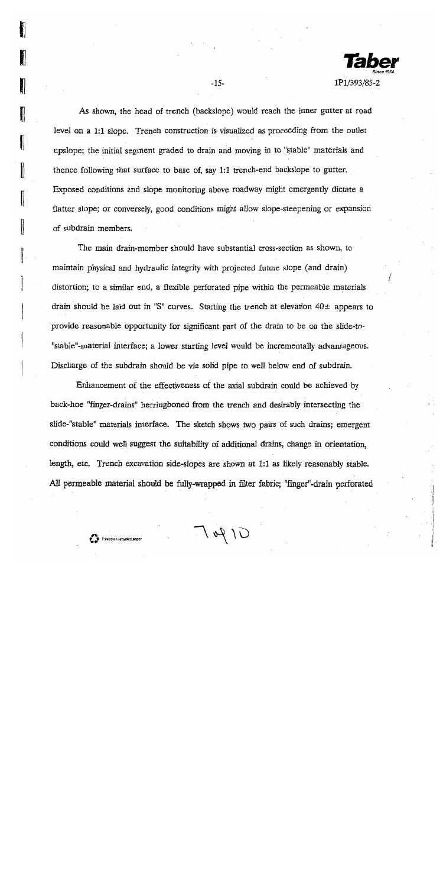

As shown, the head of trench (backslope) would reach the inner gutter at road level on a 1:1 slope. Trench construction is visualized as proceeding from the outlet upslope; the initial segment graded to drain and moving in to "stable" materials and thence following that surface to base of, say 1:1 trench-end backslope to gutter. Exposed conditions and slope monitoring above roadway might emergently dictate a flatter slope; or conversely, good conditions might allow slope-steepening or expansion of subdrain members.

l

I

 $-15-$ 

The main drain-member should have substantial cross-section as shown, to maintain physical and hydraulic integrity with projected future slope (and drain) distortion; to a similar end, a flexible perforated pipe within the permeable materials drain should be laid out in "S" curves. Starting the trench at elevation  $40\pm$  appears to provide reasonable opportunity for significant part of the drain to be on the slide-to-"stable"-material interface; a lower starting level would be incrementally advantageous. Discharge of the subdrain should be via solid pipe to well below end of subdrain.

Enhancement of the effectiveness of the axial subdrain could be achieved by back-hoe "finger-drains" herringboned from the trench and desirably intersecting the slide-"stable" materials interface. The sketch shows two pairs of such drains; emergent conditions could well suggest the suitability of additional drains, change in orientation, length, etc. Trench excavation side-slopes are shown at 1:1 as likely reasonably stable. All permeable material should be fully-wrapped in filter fabric: "finger"-drain perforated

 $T_{W}$ 10

Printed on recycled pape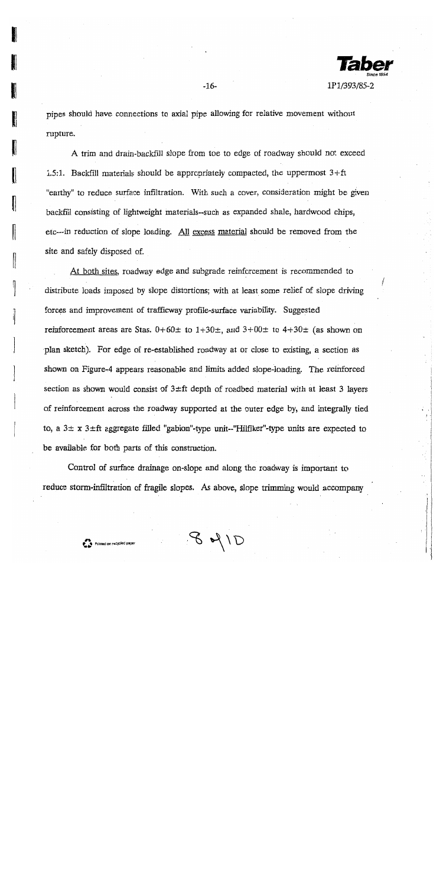

pipes should have connections to axial pipe allowing for relative movement without rupture.

 $-16-$ 

A trim and drain-backfill slope from toe to edge of roadway should not exceed 1.5:1. Backfill materials should be appropriately compacted, the uppermost  $3+ft$ "earthy" to reduce surface infiltration. With such a cover, consideration might be given backfill consisting of lightweight materials--such as expanded shale, hardwood chips, etc---in reduction of slope loading. All excess material should be removed from the site and safely disposed of.

At both sites, roadway edge and subgrade reinforcement is recommended to distribute loads imposed by slope distortions; with at least some relief of slope driving forces and improvement of trafficway profile-surface variability. Suggested reinforcement areas are Stas.  $0+60\pm$  to  $1+30\pm$ , and  $3+00\pm$  to  $4+30\pm$  (as shown on plan sketch). For edge of re-established roadway at or close to existing, a section as shown on Figure-4 appears reasonable and limits added slope-loading. The reinforced section as shown would consist of  $3 \pm ft$  depth of roadbed material with at least 3 layers of reinforcement across the roadway supported at the outer edge by, and integrally tied to, a  $3\pm x$   $3\pm ft$  aggregate filled "gabion"-type unit--"Hilfiker"-type units are expected to be available for both parts of this construction.

Control of surface drainage on-slope and along the roadway is important to reduce storm-infiltration of fragile slopes. As above, slope trimming would accompany

 $841D$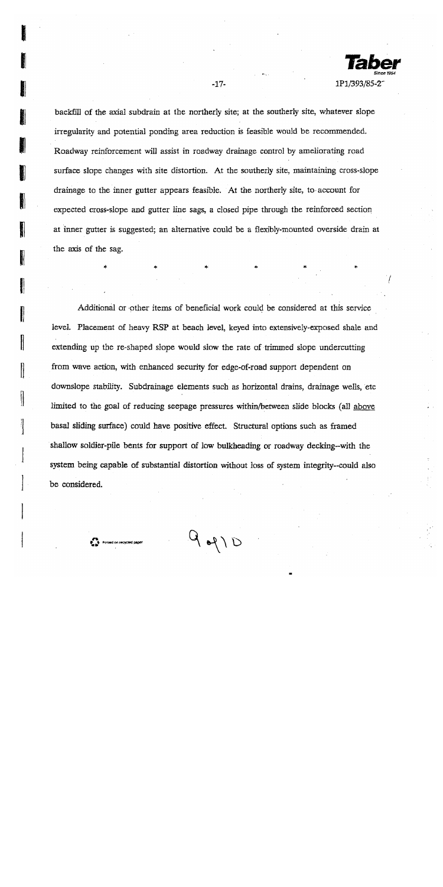1P1/393/85-2

backfill of the axial subdrain at the northerly site; at the southerly site, whatever slope irregularity and potential ponding area reduction is feasible would be recommended. Roadway reinforcement will assist in roadway drainage control by ameliorating road surface slope changes with site distortion. At the southerly site, maintaining cross-slope drainage to the inner gutter appears feasible. At the northerly site, to account for expected cross-slope and gutter line sags, a closed pipe through the reinforced section at inner gutter is suggested; an alternative could be a flexibly-mounted overside drain at the axis of the sag.

 $-17-$ 

Additional or other items of beneficial work could be considered at this service level. Placement of heavy RSP at beach level, keyed into extensively-exposed shale and extending up the re-shaped slope would slow the rate of trimmed slope undercutting from wave action, with enhanced security for edge-of-road support dependent on downslope stability. Subdrainage elements such as horizontal drains, drainage wells, etc limited to the goal of reducing seepage pressures within/between slide blocks (all above basal sliding surface) could have positive effect. Structural options such as framed shallow soldier-pile bents for support of low bulkheading or roadway decking-with the system being capable of substantial distortion without loss of system integrity-could also be considered.

 $d \mid \beta$ 

**P. 3** Printed on recycled p